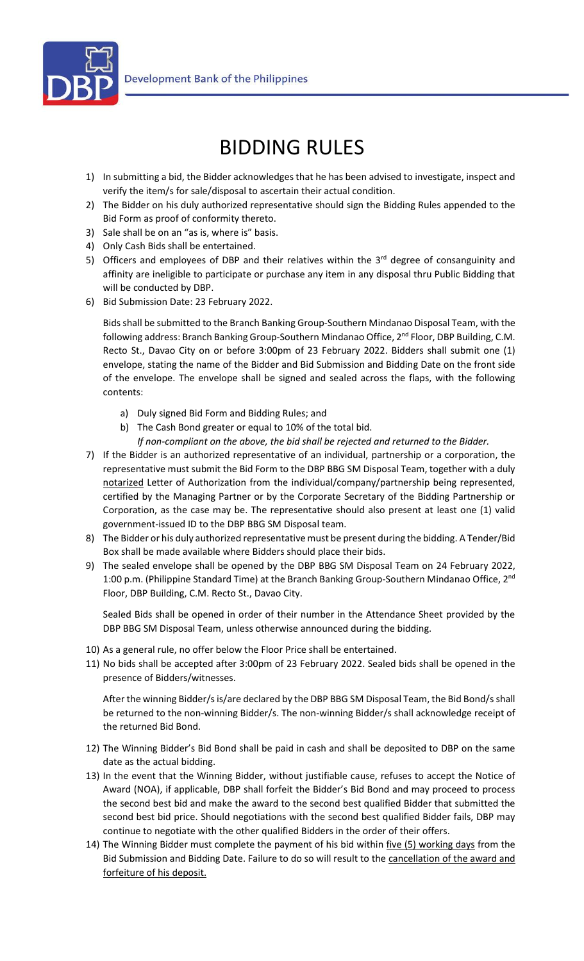

## BIDDING RULES

- 1) In submitting a bid, the Bidder acknowledges that he has been advised to investigate, inspect and verify the item/s for sale/disposal to ascertain their actual condition.
- 2) The Bidder on his duly authorized representative should sign the Bidding Rules appended to the Bid Form as proof of conformity thereto.
- 3) Sale shall be on an "as is, where is" basis.
- 4) Only Cash Bids shall be entertained.
- 5) Officers and employees of DBP and their relatives within the  $3<sup>rd</sup>$  degree of consanguinity and affinity are ineligible to participate or purchase any item in any disposal thru Public Bidding that will be conducted by DBP.
- 6) Bid Submission Date: 23 February 2022.

Bids shall be submitted to the Branch Banking Group-Southern Mindanao Disposal Team, with the following address: Branch Banking Group-Southern Mindanao Office, 2<sup>nd</sup> Floor, DBP Building, C.M. Recto St., Davao City on or before 3:00pm of 23 February 2022. Bidders shall submit one (1) envelope, stating the name of the Bidder and Bid Submission and Bidding Date on the front side of the envelope. The envelope shall be signed and sealed across the flaps, with the following contents:

- a) Duly signed Bid Form and Bidding Rules; and
- b) The Cash Bond greater or equal to 10% of the total bid.
	- *If non-compliant on the above, the bid shall be rejected and returned to the Bidder.*
- 7) If the Bidder is an authorized representative of an individual, partnership or a corporation, the representative must submit the Bid Form to the DBP BBG SM Disposal Team, together with a duly notarized Letter of Authorization from the individual/company/partnership being represented, certified by the Managing Partner or by the Corporate Secretary of the Bidding Partnership or Corporation, as the case may be. The representative should also present at least one (1) valid government-issued ID to the DBP BBG SM Disposal team.
- 8) The Bidder or his duly authorized representative must be present during the bidding. A Tender/Bid Box shall be made available where Bidders should place their bids.
- 9) The sealed envelope shall be opened by the DBP BBG SM Disposal Team on 24 February 2022, 1:00 p.m. (Philippine Standard Time) at the Branch Banking Group-Southern Mindanao Office, 2<sup>nd</sup> Floor, DBP Building, C.M. Recto St., Davao City.

Sealed Bids shall be opened in order of their number in the Attendance Sheet provided by the DBP BBG SM Disposal Team, unless otherwise announced during the bidding.

- 10) As a general rule, no offer below the Floor Price shall be entertained.
- 11) No bids shall be accepted after 3:00pm of 23 February 2022. Sealed bids shall be opened in the presence of Bidders/witnesses.

After the winning Bidder/s is/are declared by the DBP BBG SM Disposal Team, the Bid Bond/s shall be returned to the non-winning Bidder/s. The non-winning Bidder/s shall acknowledge receipt of the returned Bid Bond.

- 12) The Winning Bidder's Bid Bond shall be paid in cash and shall be deposited to DBP on the same date as the actual bidding.
- 13) In the event that the Winning Bidder, without justifiable cause, refuses to accept the Notice of Award (NOA), if applicable, DBP shall forfeit the Bidder's Bid Bond and may proceed to process the second best bid and make the award to the second best qualified Bidder that submitted the second best bid price. Should negotiations with the second best qualified Bidder fails, DBP may continue to negotiate with the other qualified Bidders in the order of their offers.
- 14) The Winning Bidder must complete the payment of his bid within *five (5) working days* from the Bid Submission and Bidding Date. Failure to do so will result to the cancellation of the award and forfeiture of his deposit.